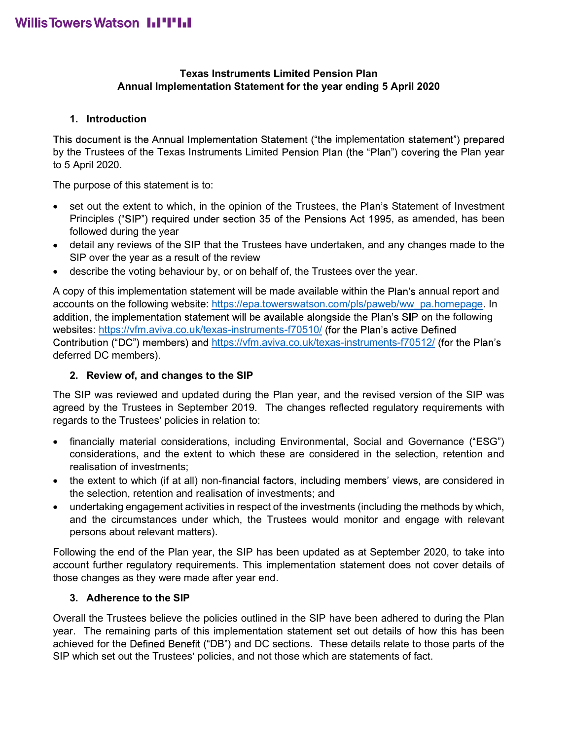# Texas Instruments Limited Pension Plan Annual Implementation Statement for the year ending 5 April 2020

# 1. Introduction

This document is the Annual Implementation Statement ("the implementation statement") prepared Texas Instruments Limited Pension Plan<br>
Annual Implementation Statement for the year ending 5 April 2020<br>
1. Introduction<br>
This document is the Annual Implementation Statement ("the implementation statement") prepared<br>
by to 5 April 2020.

The purpose of this statement is to:

- set out the extent to which, in the opinion of the Trustees, the Plan's Statement of Investment Principles ("SIP") required under section 35 of the Pensions Act 1995, as amended, has been followed during the year
- detail any reviews of the SIP that the Trustees have undertaken, and any changes made to the SIP over the year as a result of the review
- describe the voting behaviour by, or on behalf of, the Trustees over the year.

**Exas Instruments Limited Pension Plan**<br> **Annual Implementation Statement** ("the implementation statement") prepared<br>
1. Introduction<br>
This document is the Annual Implementation Statement ("the implementation statement") **Exas Instruments Limited Pension Plan**<br> **Annual Implementation Statement for the year ending 5 April 2020**<br> **1.** Introduction<br>
This document is the Annual Implementation Statement ("the implementation statement") prepare addition, the implementation statement will be available alongside the Plan's SIP on the following websites: https://vfm.aviva.co.uk/texas-instruments-f70510/ (for the Plan's active Defined Contribution ("DC") members) and https://vfm.aviva.co.uk/texas-instruments-f70512/ (for the Plan's deferred DC members). detail any reviews of the SIP that the Trustees have undertaken, and any changes made to the SIP over the year.<br>
SIP over the year as a result of the review<br>
describe the volting behaviour by, or on behalf of, the Trustee

# 2. Review of, and changes to the SIP

The SIP was reviewed and updated during the Plan year, and the revised version of the SIP was agreed by the Trustees in September 2019. The changes reflected regulatory requirements with regards to the Trustees' policies in relation to:

- financially material considerations, including Environmental, Social and Governance ("ESG") considerations, and the extent to which these are considered in the selection, retention and realisation of investments;
- the selection, retention and realisation of investments; and
- undertaking engagement activities in respect of the investments (including the methods by which, and the circumstances under which, the Trustees would monitor and engage with relevant persons about relevant matters).

Following the end of the Plan year, the SIP has been updated as at September 2020, to take into account further regulatory requirements. This implementation statement does not cover details of those changes as they were made after year end.

# 3. Adherence to the SIP

Overall the Trustees believe the policies outlined in the SIP have been adhered to during the Plan year. The remaining parts of this implementation statement set out details of how this has been achieved for the Defined Benefit ("DB") and DC sections. These details relate to those parts of the SIP which set out the Trustees' policies, and not those which are statements of fact.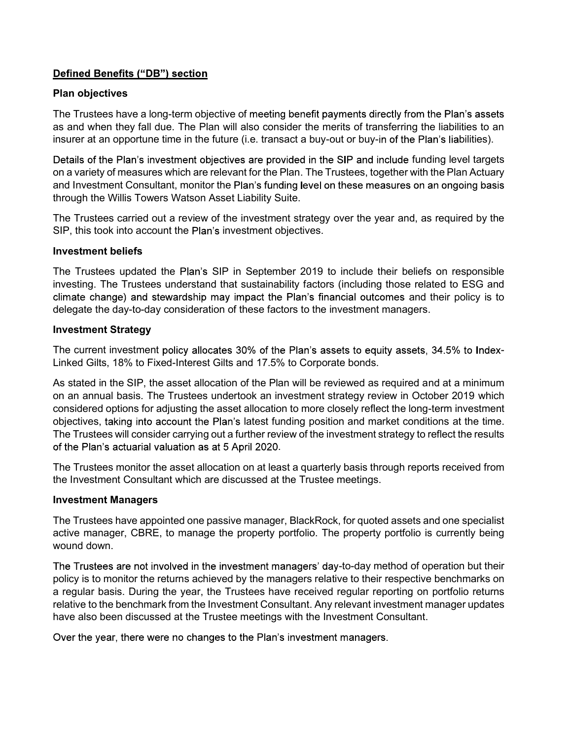# **Defined Benefits ("DB") section**

## Plan objectives

The Trustees have a long-term objective of meeting benefit payments directly from the Plan's assets as and when they fall due. The Plan will also consider the merits of transferring the liabilities to an insurer at an opportune time in the future (i.e. transact a buy-out or buy-in of the Plan's liabilities).

Details of the Plan's investment objectives are provided in the SIP and include funding level targets on a variety of measures which are relevant for the Plan. The Trustees, together with the Plan Actuary and Investment Consultant, monitor the Plan's funding level on these measures on an ongoing basis through the Willis Towers Watson Asset Liability Suite.

The Trustees carried out a review of the investment strategy over the year and, as required by the SIP, this took into account the Plan's investment objectives.

#### Investment beliefs

The Trustees updated the Plan's SIP in September 2019 to include their beliefs on responsible investing. The Trustees understand that sustainability factors (including those related to ESG and climate change) and stewardship may impact the Plan's financial outcomes and their policy is to delegate the day-to-day consideration of these factors to the investment managers.

### Investment Strategy

The current investment policy allocates 30% of the Plan's assets to equity assets, 34.5% to Index-Linked Gilts, 18% to Fixed-Interest Gilts and 17.5% to Corporate bonds.

As stated in the SIP, the asset allocation of the Plan will be reviewed as required and at a minimum Details of the Plan's investment objectives are provided in the SIP and include funding level targets<br>on a variety of measures which are relevant for the Plan. The Trustees, together with the Plan Actuary<br>and Investment Co considered options for adjusting the asset allocation to more closely reflect the long-term investment objectives, taking into account the Plan's latest funding position and market conditions at the time. The Trustees will consider carrying out a further review of the investment strategy to reflect the results of the Plan's actuarial valuation as at 5 April 2020.<br>The Trustees monitor the asset allocation on at least a quarterly basis through reports received from e bonds.<br>
tewed as required and at a minimum<br>
teeyor as required and at a minimum<br>
teeyor yeriew in October 2019 which<br>
n and market conditions at the time.<br>
estment strategy to reflect the results<br>
v basis through reports The current investment policy allocates 30% of the Plan's assets to equity assets, 34.5% to Index-<br>Linked Gilts, 18% to Fixed-Interest Gilts and 17.5% to Corporate bonds.<br>As stated in the SIP, the asset allocation of the P

the Investment Consultant which are discussed at the Trustee meetings.

#### Investment Managers

The Trustees have appointed one passive manager, BlackRock, for quoted assets and one specialist active manager, CBRE, to manage the property portfolio. The property portfolio is currently being wound down.

a regular basis. During the year, the Trustees have received regular reporting on portfolio returns relative to the benchmark from the Investment Consultant. Any relevant investment manager updates have also been discussed at the Trustee meetings with the Investment Consultant.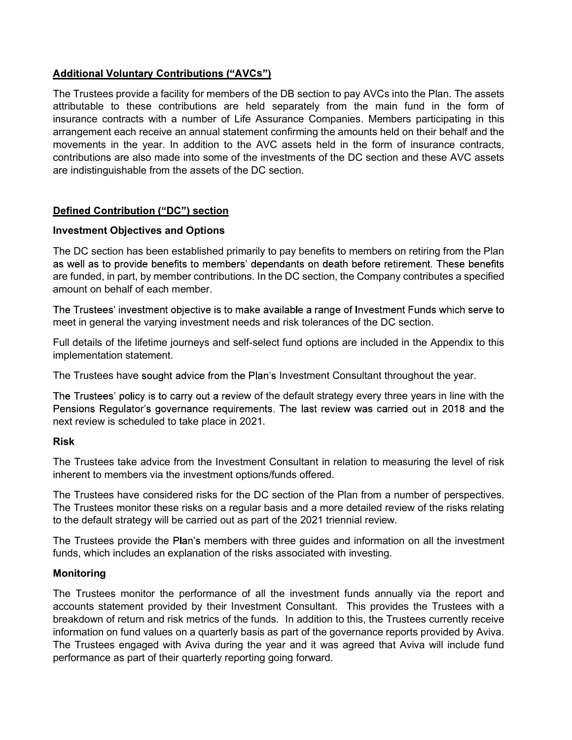# $\mathbf{s}$ ")

The Trustees provide a facility for members of the DB section to pay AVCs into the Plan. The assets attributable to these contributions are held separately from the main fund in the form of insurance contracts with a number of Life Assurance Companies. Members participating in this arrangement each receive an annual statement confirming the amounts held on their behalf and the movements in the year. In addition to the AVC assets held in the form of insurance contracts, contributions are also made into some of the investments of the DC section and these AVC assets are indistinguishable from the assets of the DC section.

# **Defined Contribution ("DC") section**

### Investment Objectives and Options

The DC section has been established primarily to pay benefits to members on retiring from the Plan as well as to provide benefits to members' dependants on death before retirement. These benefits are funded, in part, by member contributions. In the DC section, the Company contributes a specified amount on behalf of each member.

The Trustees' investment objective is to make available a range of Investment Funds which serve to meet in general the varying investment needs and risk tolerances of the DC section.

Full details of the lifetime journeys and self-select fund options are included in the Appendix to this implementation statement.

The Trustees have sought advice from the Plan's Investment Consultant throughout the year.

The Trustees' policy is to carry out a review of the default strategy every three years in line with the next review is scheduled to take place in 2021.

#### Risk

The Trustees take advice from the Investment Consultant in relation to measuring the level of risk inherent to members via the investment options/funds offered.

The Trustees have considered risks for the DC section of the Plan from a number of perspectives. The Trustees monitor these risks on a regular basis and a more detailed review of the risks relating to the default strategy will be carried out as part of the 2021 triennial review.

The Trustees provide the Plan's members with three guides and information on all the investment funds, which includes an explanation of the risks associated with investing.

#### Monitoring

The Trustees monitor the performance of all the investment funds annually via the report and The Trustees have sought advice from the Plan's Investment Consultant throughout the year.<br>The Trustees' policy is to carry out a review of the default strategy every three years in line with the<br>Pensions Regulator's gover breakdown of return and risk metrics of the funds. In addition to this, the Trustees currently receive information on fund values on a quarterly basis as part of the governance reports provided by Aviva. The Trustees engaged with Aviva during the year and it was agreed that Aviva will include fund performance as part of their quarterly reporting going forward.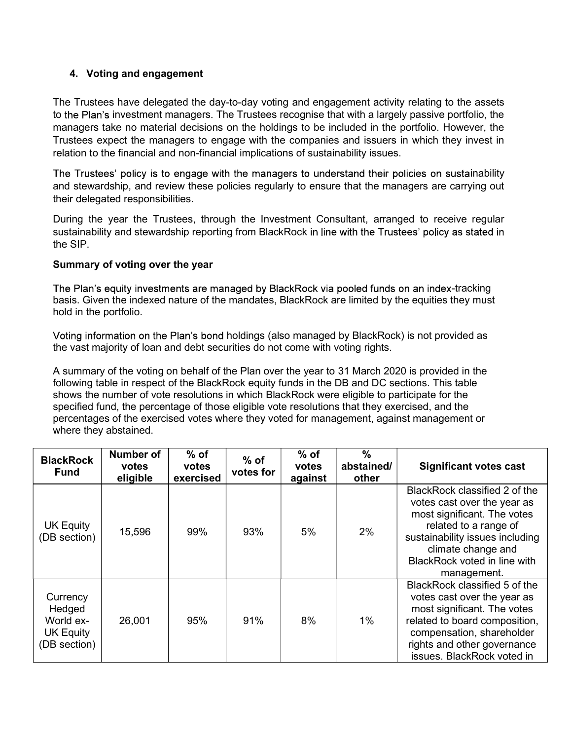**4. Voting and engagement<br>1. Trustees have delegated the day-to-day voting and engagement actival<br>1. Trustees have delegated the day-to-day voting and engagement active<br>1. The Trustees recognise that with a larg<br>1. The Tru** The Trustees have delegated the day-to-day voting and engagement activity relating to the assets to investment managers. The Trustees recognise that with a largely passive portfolio, the managers take no material decisions on the holdings to be included in the portfolio. However, the Trustees expect the managers to engage with the companies and issuers in which they invest in relation to the financial and non-financial implications of sustainability issues.

The Trustees' policy is to engage with the managers to understand their policies on sustainability and stewardship, and review these policies regularly to ensure that the managers are carrying out their delegated responsibilities.

During the year the Trustees, through the Investment Consultant, arranged to receive regular sustainability and stewardship reporting from BlackRock in line with the Trustees' policy as stated in the SIP.

### Summary of voting over the year

The Plan's equity investments are managed by BlackRock via pooled funds on an index-tracking basis. Given the indexed nature of the mandates, BlackRock are limited by the equities they must hold in the portfolio.

| hold in the portfolio.                                              |                                                                               |                              |                     |                            |                                      |                                                                                                                                                                                                                                                                                                                                                                                                                                                                                                  |
|---------------------------------------------------------------------|-------------------------------------------------------------------------------|------------------------------|---------------------|----------------------------|--------------------------------------|--------------------------------------------------------------------------------------------------------------------------------------------------------------------------------------------------------------------------------------------------------------------------------------------------------------------------------------------------------------------------------------------------------------------------------------------------------------------------------------------------|
|                                                                     | the vast majority of loan and debt securities do not come with voting rights. |                              |                     |                            |                                      | Voting information on the Plan's bond holdings (also managed by BlackRock) is not provided as                                                                                                                                                                                                                                                                                                                                                                                                    |
|                                                                     | where they abstained.                                                         |                              |                     |                            |                                      | A summary of the voting on behalf of the Plan over the year to 31 March 2020 is provided in the<br>following table in respect of the BlackRock equity funds in the DB and DC sections. This table<br>shows the number of vote resolutions in which BlackRock were eligible to participate for the<br>specified fund, the percentage of those eligible vote resolutions that they exercised, and the<br>percentages of the exercised votes where they voted for management, against management or |
| <b>BlackRock</b><br><b>Fund</b>                                     | Number of<br>votes<br>eligible                                                | $%$ of<br>votes<br>exercised | $%$ of<br>votes for | $%$ of<br>votes<br>against | $\frac{0}{0}$<br>abstained/<br>other | <b>Significant votes cast</b>                                                                                                                                                                                                                                                                                                                                                                                                                                                                    |
| <b>UK Equity</b><br>(DB section)                                    | 15,596                                                                        | 99%                          | 93%                 | 5%                         | 2%                                   | BlackRock classified 2 of the<br>votes cast over the year as<br>most significant. The votes<br>related to a range of<br>sustainability issues including<br>climate change and<br>BlackRock voted in line with<br>management.                                                                                                                                                                                                                                                                     |
| Currency<br>Hedged<br>World ex-<br><b>UK Equity</b><br>(DB section) | 26,001                                                                        | 95%                          | 91%                 | 8%                         | $1\%$                                | BlackRock classified 5 of the<br>votes cast over the year as<br>most significant. The votes<br>related to board composition,<br>compensation, shareholder<br>rights and other governance<br>issues. BlackRock voted in                                                                                                                                                                                                                                                                           |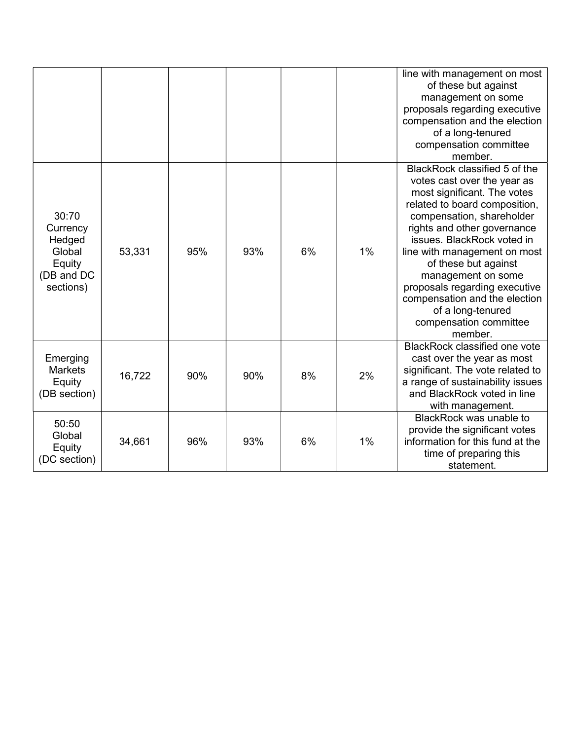|                                                                            |        |     |     |    |       | line with management on most<br>of these but against<br>management on some<br>proposals regarding executive<br>compensation and the election<br>of a long-tenured<br>compensation committee<br>member.                                                                                                                                                                                                                           |
|----------------------------------------------------------------------------|--------|-----|-----|----|-------|----------------------------------------------------------------------------------------------------------------------------------------------------------------------------------------------------------------------------------------------------------------------------------------------------------------------------------------------------------------------------------------------------------------------------------|
| 30:70<br>Currency<br>Hedged<br>Global<br>Equity<br>(DB and DC<br>sections) | 53,331 | 95% | 93% | 6% | $1\%$ | BlackRock classified 5 of the<br>votes cast over the year as<br>most significant. The votes<br>related to board composition,<br>compensation, shareholder<br>rights and other governance<br>issues. BlackRock voted in<br>line with management on most<br>of these but against<br>management on some<br>proposals regarding executive<br>compensation and the election<br>of a long-tenured<br>compensation committee<br>member. |
| Emerging<br><b>Markets</b><br>Equity<br>(DB section)                       | 16,722 | 90% | 90% | 8% | 2%    | BlackRock classified one vote<br>cast over the year as most<br>significant. The vote related to<br>a range of sustainability issues<br>and BlackRock voted in line<br>with management.                                                                                                                                                                                                                                           |
| 50:50<br>Global<br>Equity<br>(DC section)                                  | 34,661 | 96% | 93% | 6% | $1\%$ | BlackRock was unable to<br>provide the significant votes<br>information for this fund at the<br>time of preparing this<br>statement.                                                                                                                                                                                                                                                                                             |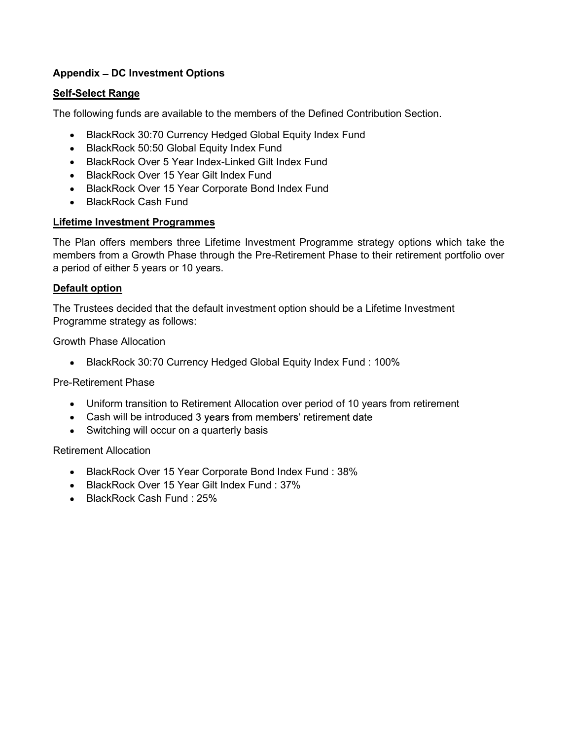# Appendix - DC Investment Options

# Self-Select Range

The following funds are available to the members of the Defined Contribution Section.

- BlackRock 30:70 Currency Hedged Global Equity Index Fund
- BlackRock 50:50 Global Equity Index Fund
- BlackRock Over 5 Year Index-Linked Gilt Index Fund
- BlackRock Over 15 Year Gilt Index Fund
- BlackRock Over 15 Year Corporate Bond Index Fund
- BlackRock Cash Fund

# Lifetime Investment Programmes

The Plan offers members three Lifetime Investment Programme strategy options which take the members from a Growth Phase through the Pre-Retirement Phase to their retirement portfolio over a period of either 5 years or 10 years.

# Default option

The Trustees decided that the default investment option should be a Lifetime Investment Programme strategy as follows:

Growth Phase Allocation

BlackRock 30:70 Currency Hedged Global Equity Index Fund : 100%

# Pre-Retirement Phase

- Uniform transition to Retirement Allocation over period of 10 years from retirement
- Cash will be introduced 3 years from members' retirement date
- Switching will occur on a quarterly basis

# Retirement Allocation

- BlackRock Over 15 Year Corporate Bond Index Fund : 38%
- BlackRock Over 15 Year Gilt Index Fund : 37%
- BlackRock Cash Fund: 25%